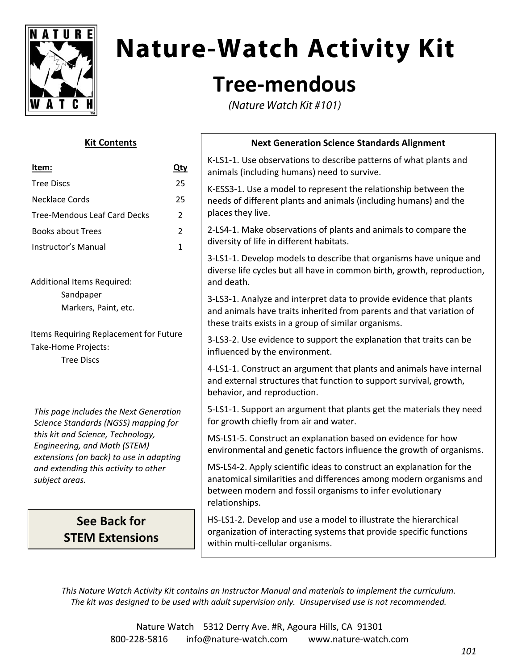

# **Nature-Watch Activity Kit**

### **Tree‐mendous**

(Nature Watch Kit #101)

### **Kit Contents**

| Item:                                                                                                                                                                                                                                                    | Qty            |
|----------------------------------------------------------------------------------------------------------------------------------------------------------------------------------------------------------------------------------------------------------|----------------|
| <b>Tree Discs</b>                                                                                                                                                                                                                                        | 25             |
| Necklace Cords                                                                                                                                                                                                                                           | 25             |
| <b>Tree-Mendous Leaf Card Decks</b>                                                                                                                                                                                                                      | $\overline{2}$ |
| <b>Books about Trees</b>                                                                                                                                                                                                                                 | $\overline{2}$ |
| Instructor's Manual                                                                                                                                                                                                                                      | 1              |
| <b>Additional Items Required:</b><br>Sandpaper<br>Markers, Paint, etc.                                                                                                                                                                                   |                |
| Items Requiring Replacement for Future<br>Take-Home Projects:<br><b>Tree Discs</b>                                                                                                                                                                       |                |
| This page includes the Next Generation<br>Science Standards (NGSS) mapping for<br>this kit and Science, Technology,<br>Engineering, and Math (STEM)<br>extensions (on back) to use in adapting<br>and extending this activity to other<br>subject areas. |                |

### **See Back for STEM Extensions**

### **Next Generation Science Standards Alignment**

K‐LS1‐1. Use observations to describe patterns of what plants and animals (including humans) need to survive.

K‐ESS3‐1. Use a model to represent the relationship between the needs of different plants and animals (including humans) and the places they live.

2‐LS4‐1. Make observations of plants and animals to compare the diversity of life in different habitats.

3‐LS1‐1. Develop models to describe that organisms have unique and diverse life cycles but all have in common birth, growth, reproduction, and death.

3‐LS3‐1. Analyze and interpret data to provide evidence that plants and animals have traits inherited from parents and that variation of these traits exists in a group of similar organisms.

3‐LS3‐2. Use evidence to support the explanation that traits can be influenced by the environment.

4‐LS1‐1. Construct an argument that plants and animals have internal and external structures that function to support survival, growth, behavior, and reproduction.

5‐LS1‐1. Support an argument that plants get the materials they need for growth chiefly from air and water.

MS‐LS1‐5. Construct an explanation based on evidence for how environmental and genetic factors influence the growth of organisms.

MS‐LS4‐2. Apply scientific ideas to construct an explanation for the anatomical similarities and differences among modern organisms and between modern and fossil organisms to infer evolutionary relationships.

HS‐LS1‐2. Develop and use a model to illustrate the hierarchical organization of interacting systems that provide specific functions within multi-cellular organisms.

*This Nature Watch Activity Kit contains an Instructor Manual and materials to implement the curriculum. The kit was designed to be used with adult supervision only. Unsupervised use is not recommended.*